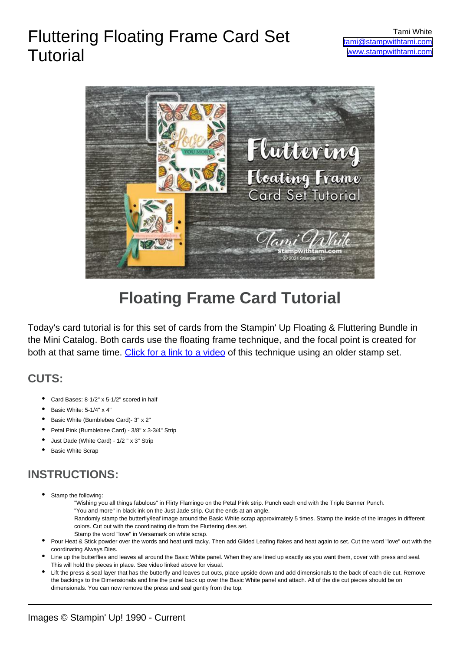# Fluttering Floating Frame Card Set



## **Floating Frame Card Tutorial**

Today's card tutorial is for this set of cards from the Stampin' Up Floating & Fluttering Bundle in the Mini Catalog. Both cards use the floating frame technique, and the focal point is created for both at that same time. [Click for a link to a video](https://stampwithtami.com/blog/2019/05/dad-2019/) of this technique using an older stamp set.

#### **CUTS:**

**Tutorial** 

- Card Bases: 8-1/2" x 5-1/2" scored in half
- Basic White: 5-1/4" x 4"
- Basic White (Bumblebee Card)- 3" x 2"
- Petal Pink (Bumblebee Card) 3/8" x 3-3/4" Strip
- Just Dade (White Card) 1/2 " x 3" Strip
- **Basic White Scrap**

### **INSTRUCTIONS:**

- Stamp the following: •
	- "Wishing you all things fabulous" in Flirty Flamingo on the Petal Pink strip. Punch each end with the Triple Banner Punch.
	- "You and more" in black ink on the Just Jade strip. Cut the ends at an angle.
	- Randomly stamp the butterfly/leaf image around the Basic White scrap approximately 5 times. Stamp the inside of the images in different colors. Cut out with the coordinating die from the Fluttering dies set.
	- Stamp the word "love" in Versamark on white scrap.
- Pour Heat & Stick powder over the words and heat until tacky. Then add Gilded Leafing flakes and heat again to set. Cut the word "love" out with the coordinating Always Dies. •
- Line up the butterflies and leaves all around the Basic White panel. When they are lined up exactly as you want them, cover with press and seal. This will hold the pieces in place. See video linked above for visual. •
- Lift the press & seal layer that has the butterfly and leaves cut outs, place upside down and add dimensionals to the back of each die cut. Remove the backings to the Dimensionals and line the panel back up over the Basic White panel and attach. All of the die cut pieces should be on dimensionals. You can now remove the press and seal gently from the top. •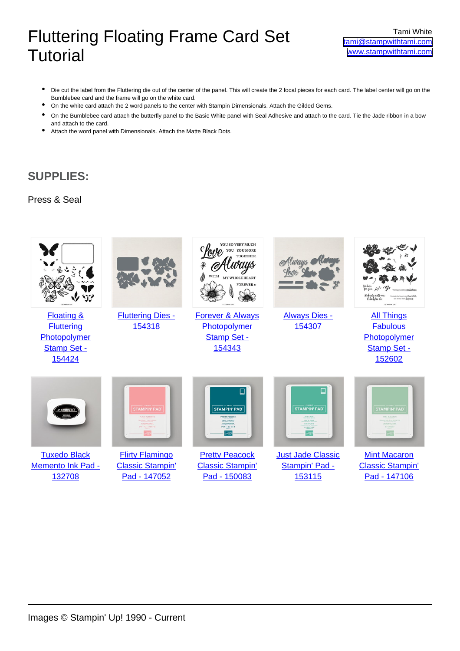## Fluttering Floating Frame Card Set **Tutorial**

- Die cut the label from the Fluttering die out of the center of the panel. This will create the 2 focal pieces for each card. The label center will go on the Bumblebee card and the frame will go on the white card. •
- On the white card attach the 2 word panels to the center with Stampin Dimensionals. Attach the Gilded Gems.
- On the Bumblebee card attach the butterfly panel to the Basic White panel with Seal Adhesive and attach to the card. Tie the Jade ribbon in a bow and attach to the card. •
- Attach the word panel with Dimensionals. Attach the Matte Black Dots.

#### **SUPPLIES:**

#### Press & Seal